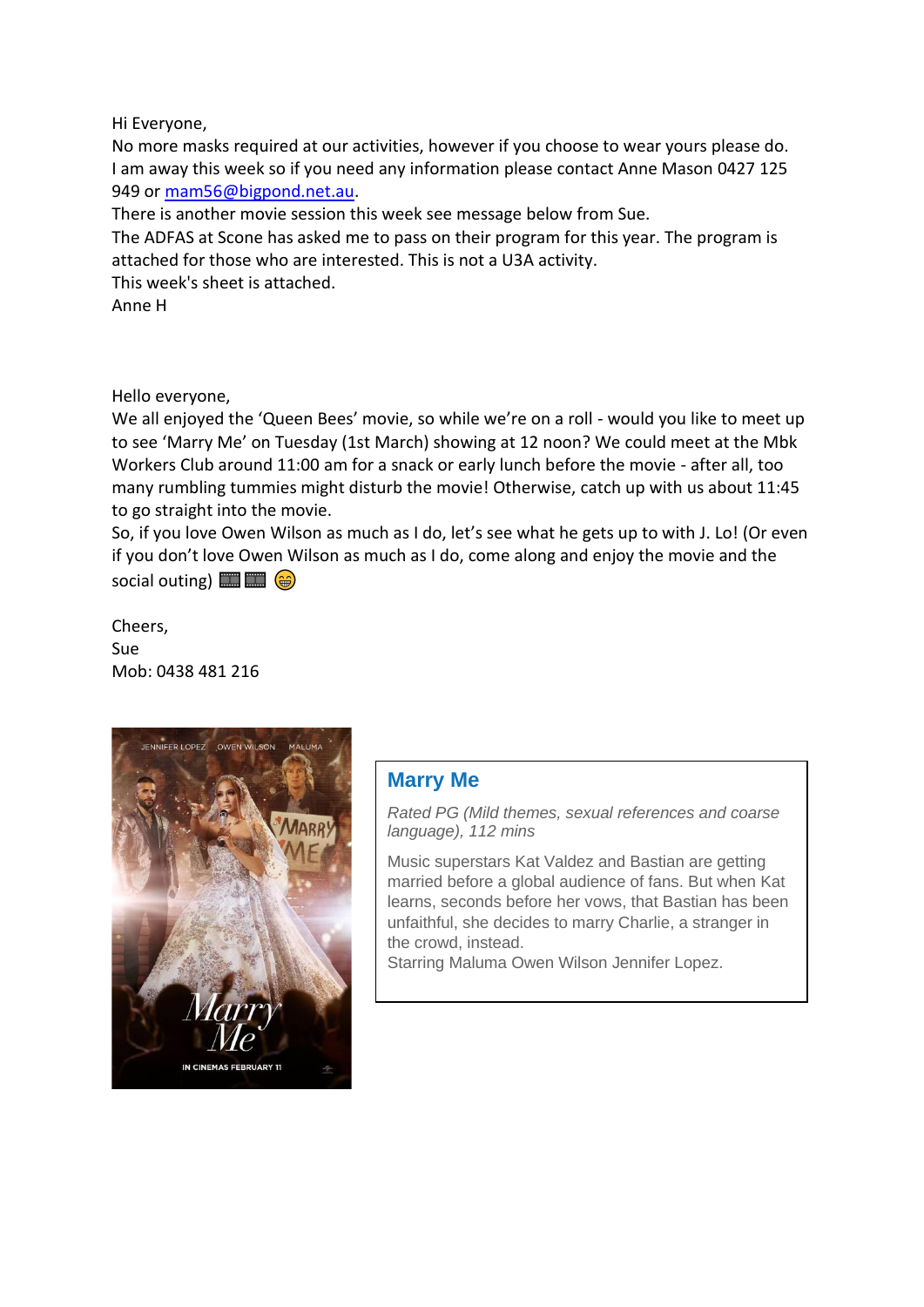Hi Everyone,

No more masks required at our activities, however if you choose to wear yours please do. I am away this week so if you need any information please contact Anne Mason 0427 125 949 or [mam56@bigpond.net.au.](mailto:mam56@bigpond.net.au)

There is another movie session this week see message below from Sue.

The ADFAS at Scone has asked me to pass on their program for this year. The program is attached for those who are interested. This is not a U3A activity.

This week's sheet is attached.

Anne H

## Hello everyone,

We all enjoyed the 'Queen Bees' movie, so while we're on a roll - would you like to meet up to see 'Marry Me' on Tuesday (1st March) showing at 12 noon? We could meet at the Mbk Workers Club around 11:00 am for a snack or early lunch before the movie - after all, too many rumbling tummies might disturb the movie! Otherwise, catch up with us about 11:45 to go straight into the movie.

So, if you love Owen Wilson as much as I do, let's see what he gets up to with J. Lo! (Or even if you don't love Owen Wilson as much as I do, come along and enjoy the movie and the social outing)  $\Box$  $\Box$  $\Box$  $\Diamond$ 

Cheers, Sue Mob: 0438 481 216



## **Marry Me**

*Rated PG (Mild themes, sexual references and coarse language), 112 mins*

Music superstars Kat Valdez and Bastian are getting married before a global audience of fans. But when Kat learns, seconds before her vows, that Bastian has been unfaithful, she decides to marry Charlie, a stranger in the crowd, instead.

Starring Maluma Owen Wilson Jennifer Lopez.